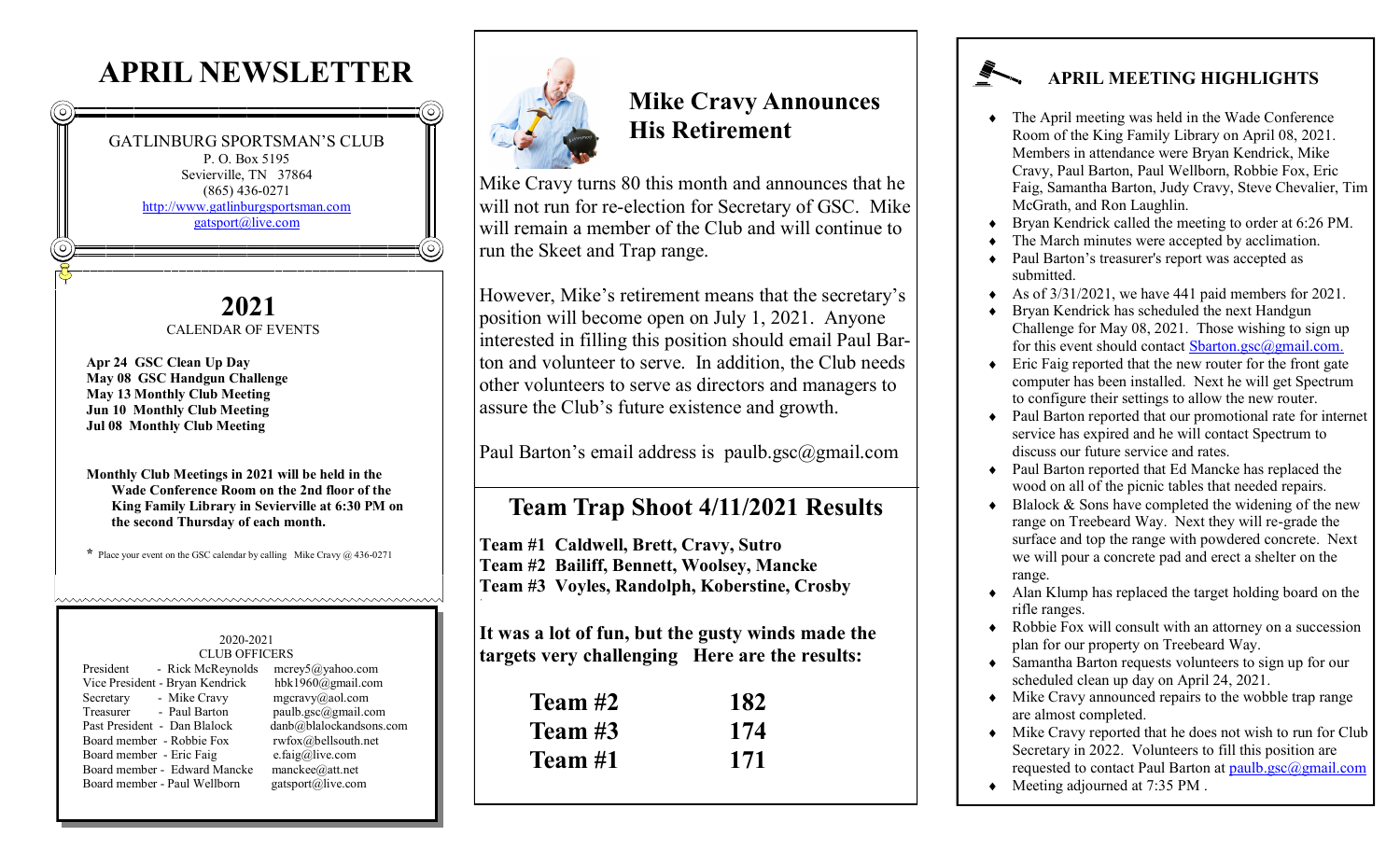# **APRIL NEWSLETTER**

GATLINBURG SPORTSMAN'S CLUB P. O. Box 5195 Sevierville, TN 37864 (865) 436-0271 <http://www.gatlinburgsportsman.com> [gatsport@live.com](mailto:gatsport@live.com)

#### **2021** CALENDAR OF EVENTS

**Apr 24 GSC Clean Up Day May 08 GSC Handgun Challenge May 13 Monthly Club Meeting Jun 10 Monthly Club Meeting Jul 08 Monthly Club Meeting**

**Monthly Club Meetings in 2021 will be held in the Wade Conference Room on the 2nd floor of the King Family Library in Sevierville at 6:30 PM on the second Thursday of each month.**

**\*** Place your event on the GSC calendar by calling Mike Cravy @ 436-0271

https://www.android.com/www.android.com/www.android.com/

#### 2020-2021 CLUB OFFICERS

| President<br>- Rick McReynolds  | $merge\sqrt{5}$ @yahoo.com |
|---------------------------------|----------------------------|
| Vice President - Bryan Kendrick | hbk1960@gmail.com          |
| - Mike Cravy<br>Secretary       | $mgcravy$ @aol.com         |
| Treasurer<br>- Paul Barton      | paulb.gsc@gmail.com        |
| Past President - Dan Blalock    | danb@blalockandsons.com    |
| Board member - Robbie Fox       | rwfox@belIsouth.net        |
| Board member - Eric Faig        | e.faig@live.com            |
| Board member - Edward Mancke    | manckee@att.net            |
| Board member - Paul Wellborn    | gatsport@live.com          |
|                                 |                            |



# **Mike Cravy Announces His Retirement**

Mike Cravy turns 80 this month and announces that he will not run for re-election for Secretary of GSC. Mike will remain a member of the Club and will continue to run the Skeet and Trap range.

However, Mike's retirement means that the secretary's position will become open on July 1, 2021. Anyone interested in filling this position should email Paul Barton and volunteer to serve. In addition, the Club needs other volunteers to serve as directors and managers to assure the Club's future existence and growth.

Paul Barton's email address is paulb.gsc@gmail.com

### **Team Trap Shoot 4/11/2021 Results**

**Team #1 Caldwell, Brett, Cravy, Sutro Team #2 Bailiff, Bennett, Woolsey, Mancke Team #3 Voyles, Randolph, Koberstine, Crosby**

**It was a lot of fun, but the gusty winds made the targets very challenging Here are the results:**

| Team #2 | 182 |
|---------|-----|
| Team #3 | 174 |
| Team #1 | 171 |

#### **APRIL MEETING HIGHLIGHTS**

- The April meeting was held in the Wade Conference Room of the King Family Library on April 08, 2021. Members in attendance were Bryan Kendrick, Mike Cravy, Paul Barton, Paul Wellborn, Robbie Fox, Eric Faig, Samantha Barton, Judy Cravy, Steve Chevalier, Tim McGrath, and Ron Laughlin.
- Bryan Kendrick called the meeting to order at 6:26 PM.
- The March minutes were accepted by acclimation.
- Paul Barton's treasurer's report was accepted as submitted.
- As of  $3/31/2021$ , we have 441 paid members for 2021.
- Bryan Kendrick has scheduled the next Handgun Challenge for May 08, 2021. Those wishing to sign up for this event should contact Sbarton.gsc $(a)$ gmail.com.
- Eric Faig reported that the new router for the front gate computer has been installed. Next he will get Spectrum to configure their settings to allow the new router.
- Paul Barton reported that our promotional rate for internet service has expired and he will contact Spectrum to discuss our future service and rates.
- Paul Barton reported that Ed Mancke has replaced the wood on all of the picnic tables that needed repairs.
- Blalock & Sons have completed the widening of the new range on Treebeard Way. Next they will re-grade the surface and top the range with powdered concrete. Next we will pour a concrete pad and erect a shelter on the range.
- Alan Klump has replaced the target holding board on the rifle ranges.
- Robbie Fox will consult with an attorney on a succession plan for our property on Treebeard Way.
- Samantha Barton requests volunteers to sign up for our scheduled clean up day on April 24, 2021.
- Mike Cravy announced repairs to the wobble trap range are almost completed.
- Mike Cravy reported that he does not wish to run for Club Secretary in 2022. Volunteers to fill this position are requested to contact Paul Barton at  $paulb.gsc@gmail.com$
- Meeting adjourned at 7:35 PM.